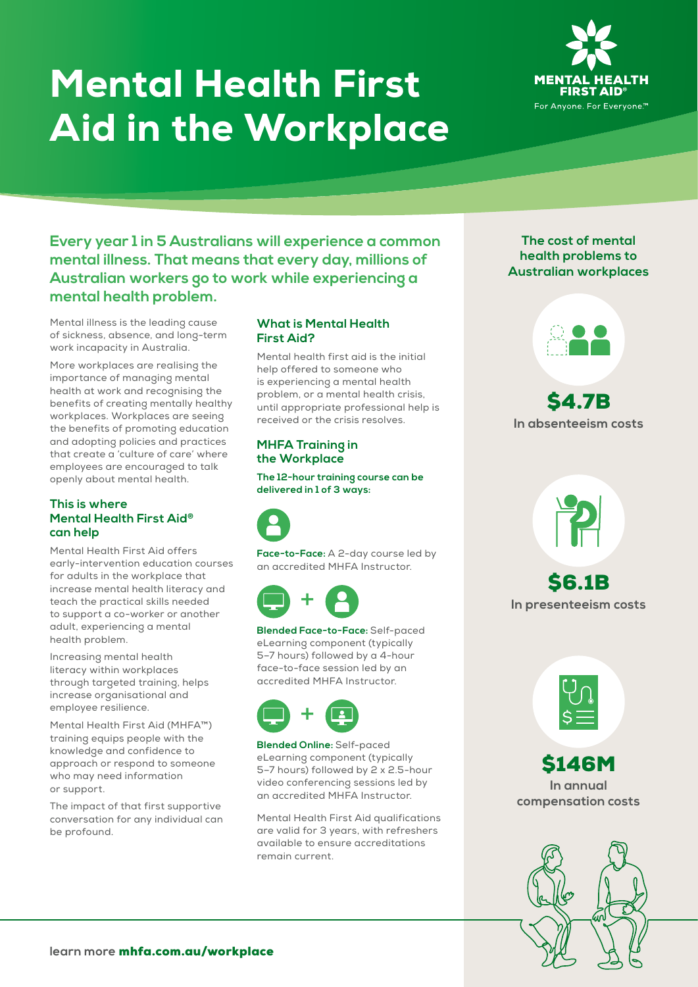# Mental Health First Aid in the Workplace



**Every year 1 in 5 Australians will experience a common mental illness. That means that every day, millions of Australian workers go to work while experiencing a mental health problem.**

Mental illness is the leading cause of sickness, absence, and long-term work incapacity in Australia.

More workplaces are realising the importance of managing mental health at work and recognising the benefits of creating mentally healthy workplaces. Workplaces are seeing the benefits of promoting education and adopting policies and practices that create a 'culture of care' where employees are encouraged to talk openly about mental health.

#### **This is where Mental Health First Aid® can help**

Mental Health First Aid offers early-intervention education courses for adults in the workplace that increase mental health literacy and teach the practical skills needed to support a co-worker or another adult, experiencing a mental health problem.

Increasing mental health literacy within workplaces through targeted training, helps increase organisational and employee resilience.

Mental Health First Aid (MHFA™) training equips people with the knowledge and confidence to approach or respond to someone who may need information or support.

The impact of that first supportive conversation for any individual can be profound.

# **What is Mental Health First Aid?**

Mental health first aid is the initial help offered to someone who is experiencing a mental health problem, or a mental health crisis, until appropriate professional help is received or the crisis resolves.

# **MHFA Training in the Workplace**

**The 12-hour training course can be delivered in 1 of 3 ways:**

**Face-to-Face:** A 2-day course led by an accredited MHFA Instructor.



**Blended Face-to-Face:** Self-paced eLearning component (typically 5–7 hours) followed by a 4-hour face-to-face session led by an accredited MHFA Instructor.



**Blended Online:** Self-paced eLearning component (typically 5–7 hours) followed by 2 x 2.5-hour video conferencing sessions led by an accredited MHFA Instructor.

Mental Health First Aid qualifications are valid for 3 years, with refreshers available to ensure accreditations remain current.

# **The cost of mental health problems to Australian workplaces**



**In absenteeism costs**



\$6.1B **In presenteeism costs**



\$146M **In annual compensation costs**